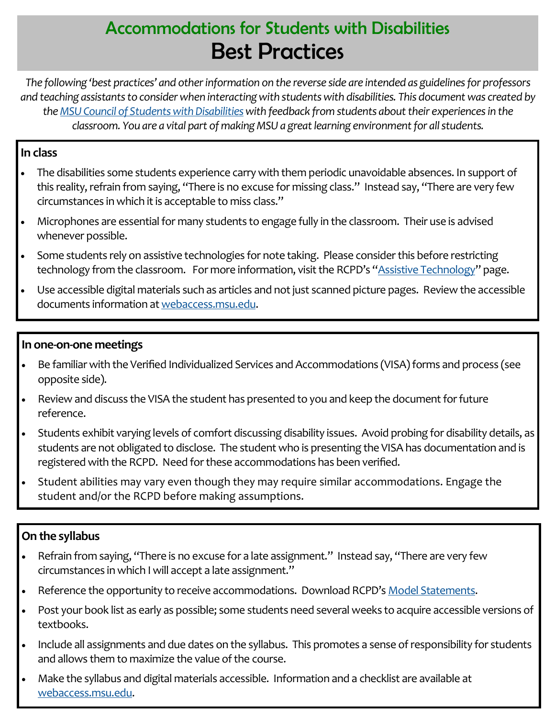# Accommodations for Students with Disabilities Best Practices

*The following 'best practices' and other information on the reverse side are intended as guidelines for professors and teaching assistants to consider when interacting with students with disabilities. This document was created by the [MSU Council of Students with Disabilities w](https://www.facebook.com/MSUCSD/)ith feedback from students about their experiences in the classroom. You are a vital part of making MSU a great learning environment for all students.* 

#### **In class**

- The disabilities some students experience carry with them periodic unavoidable absences. In support of this reality, refrain from saying, "There is no excuse for missing class." Instead say, "There are very few circumstances in which it is acceptable to miss class."
- Microphones are essential for many students to engage fully in the classroom. Their use is advised whenever possible.
- Some students rely on assistive technologies for note taking. Please consider this before restricting technology from the classroom. For more information, visit the RCPD's ["Assistive Technology"](https://www.rcpd.msu.edu/programs/assistive-technology) page.
- Use accessible digital materials such as articles and not just scanned picture pages. Review the accessible documents information at [webaccess.msu.edu.](http://webaccess.msu.edu/)

#### **In one-on-one meetings**

- Be familiar with the Verified Individualized Services and Accommodations (VISA) forms and process (see opposite side).
- Review and discuss the VISA the student has presented to you and keep the document for future reference.
- Students exhibit varying levels of comfort discussing disability issues. Avoid probing for disability details, as students are not obligated to disclose. The student who is presenting the VISA has documentation and is registered with the RCPD. Need for these accommodations has been verified.
- Student abilities may vary even though they may require similar accommodations. Engage the student and/or the RCPD before making assumptions.

### **On the syllabus**

- Refrain from saying, "There is no excuse for a late assignment." Instead say, "There are very few circumstances in which I will accept a late assignment."
- Reference the opportunity to receive accommodations. Download RCPD's [Model Statements.](https://www.rcpd.msu.edu/sites/default/files/2019-05/Model Statements for Disability Inclusion.doc)
- Post your book list as early as possible; some students need several weeks to acquire accessible versions of textbooks.
- Include all assignments and due dates on the syllabus. This promotes a sense of responsibility for students and allows them to maximize the value of the course.
- Make the syllabus and digital materials accessible. Information and a checklist are available at [webaccess.msu.edu.](http://webaccess.msu.edu/)